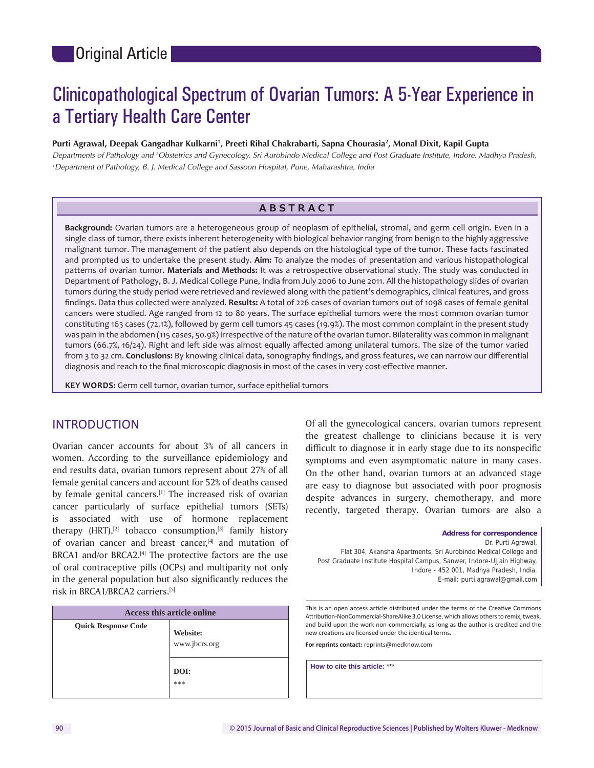# Clinicopathological Spectrum of Ovarian Tumors: A 5‑Year Experience in a Tertiary Health Care Center

#### **Purti Agrawal, Deepak Gangadhar Kulkarni1 , Preeti Rihal Chakrabarti, Sapna Chourasia2 , Monal Dixit, Kapil Gupta**

*Departments of Pathology and 2 Obstetrics and Gynecology, Sri Aurobindo Medical College and Post Graduate Institute, Indore, Madhya Pradesh, 1 Department of Pathology, B. J. Medical College and Sassoon Hospital, Pune, Maharashtra, India*

## **ABSTRACT**

**Background:** Ovarian tumors are a heterogeneous group of neoplasm of epithelial, stromal, and germ cell origin. Even in a single class of tumor, there exists inherent heterogeneity with biological behavior ranging from benign to the highly aggressive malignant tumor. The management of the patient also depends on the histological type of the tumor. These facts fascinated and prompted us to undertake the present study. **Aim:** To analyze the modes of presentation and various histopathological patterns of ovarian tumor. **Materials and Methods:** It was a retrospective observational study. The study was conducted in Department of Pathology, B. J. Medical College Pune, India from July 2006 to June 2011. All the histopathology slides of ovarian tumors during the study period were retrieved and reviewed along with the patient's demographics, clinical features, and gross findings. Data thus collected were analyzed. **Results:** A total of 226 cases of ovarian tumors out of 1098 cases of female genital cancers were studied. Age ranged from 12 to 80 years. The surface epithelial tumors were the most common ovarian tumor constituting 163 cases (72.1%), followed by germ cell tumors 45 cases (19.9%). The most common complaint in the present study was pain in the abdomen (115 cases, 50.9%) irrespective of the nature of the ovarian tumor. Bilaterality was common in malignant tumors (66.7%, 16/24). Right and left side was almost equally affected among unilateral tumors. The size of the tumor varied from 3 to 32 cm. **Conclusions:** By knowing clinical data, sonography findings, and gross features, we can narrow our differential diagnosis and reach to the final microscopic diagnosis in most of the cases in very cost-effective manner.

**KEY WORDS:** Germ cell tumor, ovarian tumor, surface epithelial tumors

### INTRODUCTION

Ovarian cancer accounts for about 3% of all cancers in women. According to the surveillance epidemiology and end results data, ovarian tumors represent about 27% of all female genital cancers and account for 52% of deaths caused by female genital cancers.<sup>[1]</sup> The increased risk of ovarian cancer particularly of surface epithelial tumors (SETs) is associated with use of hormone replacement therapy  $(HRT)$ ,<sup>[2]</sup> tobacco consumption,<sup>[3]</sup> family history of ovarian cancer and breast cancer,<sup>[4]</sup> and mutation of BRCA1 and/or BRCA2.<sup>[4]</sup> The protective factors are the use of oral contraceptive pills (OCPs) and multiparity not only in the general population but also significantly reduces the risk in BRCA1/BRCA2 carriers.[5]

| Access this article online |                                                 |  |  |  |
|----------------------------|-------------------------------------------------|--|--|--|
| <b>Quick Response Code</b> | <b>Website:</b><br>www.jbcrs.org<br>DOI:<br>*** |  |  |  |

Of all the gynecological cancers, ovarian tumors represent the greatest challenge to clinicians because it is very difficult to diagnose it in early stage due to its nonspecific symptoms and even asymptomatic nature in many cases. On the other hand, ovarian tumors at an advanced stage are easy to diagnose but associated with poor prognosis despite advances in surgery, chemotherapy, and more recently, targeted therapy. Ovarian tumors are also a

**Address for correspondence** Dr. Purti Agrawal, Flat 304, Akansha Apartments, Sri Aurobindo Medical College and Post Graduate Institute Hospital Campus, Sanwer, Indore-Ujjain Highway, Indore ‑ 452 001, Madhya Pradesh, India. E‑mail: purti.agrawal@gmail.com

This is an open access article distributed under the terms of the Creative Commons Attribution-NonCommercial-ShareAlike 3.0 License, which allows others to remix, tweak, and build upon the work non‑commercially, as long as the author is credited and the new creations are licensed under the identical terms.

**For reprints contact:** reprints@medknow.com

**How to cite this article:** \*\*\*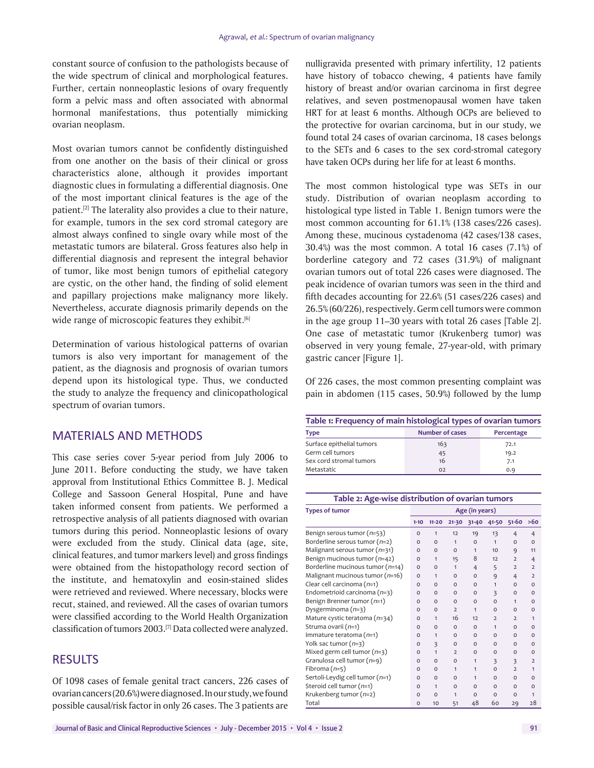constant source of confusion to the pathologists because of the wide spectrum of clinical and morphological features. Further, certain nonneoplastic lesions of ovary frequently form a pelvic mass and often associated with abnormal hormonal manifestations, thus potentially mimicking ovarian neoplasm.

Most ovarian tumors cannot be confidently distinguished from one another on the basis of their clinical or gross characteristics alone, although it provides important diagnostic clues in formulating a differential diagnosis. One of the most important clinical features is the age of the patient.[2] The laterality also provides a clue to their nature, for example, tumors in the sex cord stromal category are almost always confined to single ovary while most of the metastatic tumors are bilateral. Gross features also help in differential diagnosis and represent the integral behavior of tumor, like most benign tumors of epithelial category are cystic, on the other hand, the finding of solid element and papillary projections make malignancy more likely. Nevertheless, accurate diagnosis primarily depends on the wide range of microscopic features they exhibit.<sup>[6]</sup>

Determination of various histological patterns of ovarian tumors is also very important for management of the patient, as the diagnosis and prognosis of ovarian tumors depend upon its histological type. Thus, we conducted the study to analyze the frequency and clinicopathological spectrum of ovarian tumors.

# MATERIALS AND METHODS

This case series cover 5-year period from July 2006 to June 2011. Before conducting the study, we have taken approval from Institutional Ethics Committee B. J. Medical College and Sassoon General Hospital, Pune and have taken informed consent from patients. We performed a retrospective analysis of all patients diagnosed with ovarian tumors during this period. Nonneoplastic lesions of ovary were excluded from the study. Clinical data (age, site, clinical features, and tumor markers level) and gross findings were obtained from the histopathology record section of the institute, and hematoxylin and eosin-stained slides were retrieved and reviewed. Where necessary, blocks were recut, stained, and reviewed. All the cases of ovarian tumors were classified according to the World Health Organization classification of tumors 2003.[7] Data collected were analyzed.

# RESULTS

Of 1098 cases of female genital tract cancers, 226 cases of ovarian cancers(20.6%) were diagnosed. In our study, we found possible causal/risk factor in only 26 cases. The 3 patients are

nulligravida presented with primary infertility, 12 patients have history of tobacco chewing, 4 patients have family history of breast and/or ovarian carcinoma in first degree relatives, and seven postmenopausal women have taken HRT for at least 6 months. Although OCPs are believed to the protective for ovarian carcinoma, but in our study, we found total 24 cases of ovarian carcinoma, 18 cases belongs to the SETs and 6 cases to the sex cord-stromal category have taken OCPs during her life for at least 6 months.

The most common histological type was SETs in our study. Distribution of ovarian neoplasm according to histological type listed in Table 1. Benign tumors were the most common accounting for 61.1% (138 cases/226 cases). Among these, mucinous cystadenoma (42 cases/138 cases, 30.4%) was the most common. A total 16 cases (7.1%) of borderline category and 72 cases (31.9%) of malignant ovarian tumors out of total 226 cases were diagnosed. The peak incidence of ovarian tumors was seen in the third and fifth decades accounting for 22.6% (51 cases/226 cases) and 26.5% (60/226), respectively. Germ cell tumors were common in the age group 11–30 years with total 26 cases [Table 2]. One case of metastatic tumor (Krukenberg tumor) was observed in very young female, 27-year-old, with primary gastric cancer [Figure 1].

Of 226 cases, the most common presenting complaint was pain in abdomen (115 cases, 50.9%) followed by the lump

| Table 1: Frequency of main histological types of ovarian tumors |                        |            |  |  |  |
|-----------------------------------------------------------------|------------------------|------------|--|--|--|
| <b>Type</b>                                                     | <b>Number of cases</b> | Percentage |  |  |  |
| Surface epithelial tumors                                       | 163                    | 72.1       |  |  |  |
| Germ cell tumors                                                | 45                     | 19.2       |  |  |  |
| Sex cord stromal tumors                                         | 16                     | 7.1        |  |  |  |
| Metastatic                                                      | 02                     | 0.9        |  |  |  |

| Table 2: Age-wise distribution of ovarian tumors |                |              |                |                |                |                |                |
|--------------------------------------------------|----------------|--------------|----------------|----------------|----------------|----------------|----------------|
| <b>Types of tumor</b>                            | Age (in years) |              |                |                |                |                |                |
|                                                  | $1 - 10$       | $11 - 20$    | $21 - 30$      | $31 - 40$      | 41-50          | $51 - 60$      | >60            |
| Benign serous tumor (n=53)                       | $\circ$        | 1            | 12             | 19             | 13             | $\overline{4}$ | $\overline{4}$ |
| Borderline serous tumor $(n=2)$                  | $\Omega$       | $\Omega$     | $\mathbf{1}$   | $\Omega$       | $\mathbf{1}$   | $\Omega$       | $\Omega$       |
| Malignant serous tumor (n=31)                    | $\Omega$       | $\Omega$     | $\Omega$       | $\mathbf{1}$   | 10             | 9              | 11             |
| Benign mucinous tumor (n=42)                     | $\Omega$       | 1            | 15             | 8              | 12             | $\overline{2}$ | $\overline{4}$ |
| Borderline mucinous tumor $(n=14)$               | $\Omega$       | $\Omega$     | $\mathbf{1}$   | $\overline{4}$ | 5              | $\overline{2}$ | $\overline{2}$ |
| Malignant mucinous tumor (n=16)                  | $\Omega$       | 1            | $\Omega$       | $\Omega$       | 9              | $\overline{4}$ | $\overline{2}$ |
| Clear cell carcinoma (n=1)                       | $\Omega$       | $\Omega$     | $\Omega$       | $\Omega$       | $\mathbf{1}$   | $\Omega$       | $\Omega$       |
| Endometrioid carcinoma $(n=3)$                   | $\Omega$       | $\Omega$     | $\Omega$       | $\Omega$       | 3              | $\Omega$       | $\Omega$       |
| Benign Brenner tumor (n=1)                       | $\Omega$       | $\Omega$     | $\Omega$       | $\Omega$       | $\Omega$       | 1              | $\Omega$       |
| Dysgerminoma $(n=3)$                             | $\Omega$       | $\Omega$     | $\overline{2}$ | $\mathbf{1}$   | $\Omega$       | $\Omega$       | $\Omega$       |
| Mature cystic teratoma (n=34)                    | $\Omega$       | $\mathbf{1}$ | 16             | 12             | $\overline{2}$ | $\overline{2}$ | $\mathbf{1}$   |
| Struma ovarii (n=1)                              | $\Omega$       | $\Omega$     | $\Omega$       | $\Omega$       | $\mathbf{1}$   | $\Omega$       | $\Omega$       |
| Immature teratoma $(n=1)$                        | $\Omega$       | 1            | $\Omega$       | $\Omega$       | $\Omega$       | $\Omega$       | $\Omega$       |
| Yolk sac tumor $(n=3)$                           | $\Omega$       | 3            | $\Omega$       | $\Omega$       | $\Omega$       | $\Omega$       | $\Omega$       |
| Mixed germ cell tumor $(n=3)$                    | $\circ$        | $\mathbf{1}$ | $\overline{2}$ | $\Omega$       | $\Omega$       | $\Omega$       | $\Omega$       |
| Granulosa cell tumor (n=9)                       | $\Omega$       | $\Omega$     | $\Omega$       | $\mathbf{1}$   | $\overline{3}$ | 3              | $\overline{2}$ |
| Fibroma $(n=5)$                                  | $\Omega$       | $\Omega$     | $\mathbf{1}$   | $\mathbf{1}$   | $\Omega$       | $\overline{2}$ | $\mathbf{1}$   |
| Sertoli-Leydig cell tumor (n=1)                  | $\circ$        | $\Omega$     | $\Omega$       | 1              | $\circ$        | $\Omega$       | $\Omega$       |
| Steroid cell tumor $(n=1)$                       | $\Omega$       | 1            | $\Omega$       | $\Omega$       | $\Omega$       | $\Omega$       | $\Omega$       |
| Krukenberg tumor $(n=2)$                         | $\Omega$       | $\Omega$     | $\mathbf{1}$   | $\Omega$       | $\Omega$       | $\Omega$       | $\mathbf{1}$   |
| Total                                            | $\circ$        | 10           | 51             | 48             | 60             | 29             | 28             |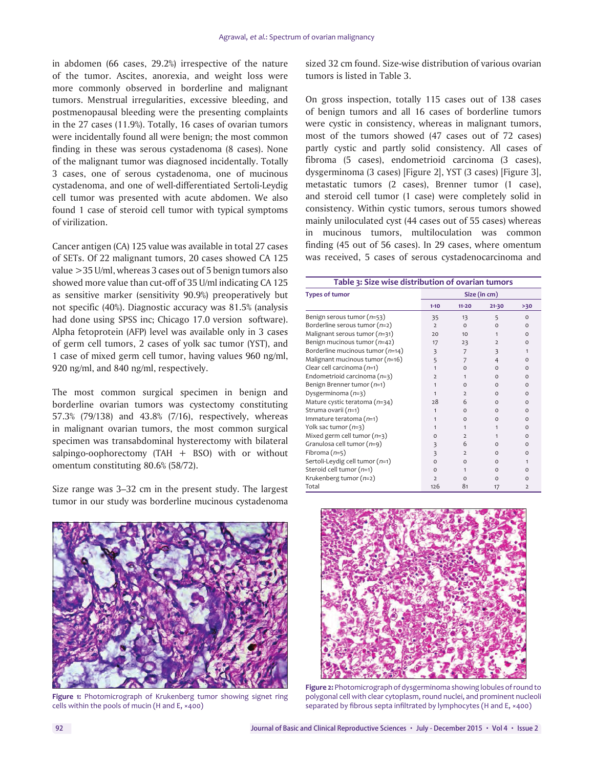in abdomen (66 cases, 29.2%) irrespective of the nature of the tumor. Ascites, anorexia, and weight loss were more commonly observed in borderline and malignant tumors. Menstrual irregularities, excessive bleeding, and postmenopausal bleeding were the presenting complaints in the 27 cases (11.9%). Totally, 16 cases of ovarian tumors were incidentally found all were benign; the most common finding in these was serous cystadenoma (8 cases). None of the malignant tumor was diagnosed incidentally. Totally 3 cases, one of serous cystadenoma, one of mucinous cystadenoma, and one of well-differentiated Sertoli-Leydig cell tumor was presented with acute abdomen. We also found 1 case of steroid cell tumor with typical symptoms of virilization.

Cancer antigen (CA) 125 value was available in total 27 cases of SETs. Of 22 malignant tumors, 20 cases showed CA 125 value >35 U/ml, whereas 3 cases out of 5 benign tumors also showed more value than cut-off of 35 U/ml indicating CA 125 as sensitive marker (sensitivity 90.9%) preoperatively but not specific (40%). Diagnostic accuracy was 81.5% (analysis had done using SPSS inc; Chicago 17.0 version software). Alpha fetoprotein (AFP) level was available only in 3 cases of germ cell tumors, 2 cases of yolk sac tumor (YST), and 1 case of mixed germ cell tumor, having values 960 ng/ml, 920 ng/ml, and 840 ng/ml, respectively.

The most common surgical specimen in benign and borderline ovarian tumors was cystectomy constituting 57.3% (79/138) and 43.8% (7/16), respectively, whereas in malignant ovarian tumors, the most common surgical specimen was transabdominal hysterectomy with bilateral salpingo-oophorectomy (TAH  $+$  BSO) with or without omentum constituting 80.6% (58/72).

Size range was 3–32 cm in the present study. The largest tumor in our study was borderline mucinous cystadenoma

sized 32 cm found. Size-wise distribution of various ovarian tumors is listed in Table 3.

On gross inspection, totally 115 cases out of 138 cases of benign tumors and all 16 cases of borderline tumors were cystic in consistency, whereas in malignant tumors, most of the tumors showed (47 cases out of 72 cases) partly cystic and partly solid consistency. All cases of fibroma (5 cases), endometrioid carcinoma (3 cases), dysgerminoma (3 cases) [Figure 2], YST (3 cases) [Figure 3], metastatic tumors (2 cases), Brenner tumor (1 case), and steroid cell tumor (1 case) were completely solid in consistency. Within cystic tumors, serous tumors showed mainly uniloculated cyst (44 cases out of 55 cases) whereas in mucinous tumors, multiloculation was common finding (45 out of 56 cases). In 29 cases, where omentum was received, 5 cases of serous cystadenocarcinoma and

| Table 3: Size wise distribution of ovarian tumors |                         |                 |                         |                |  |  |
|---------------------------------------------------|-------------------------|-----------------|-------------------------|----------------|--|--|
| <b>Types of tumor</b>                             | Size (in cm)            |                 |                         |                |  |  |
|                                                   | $1 - 10$                | $11 - 20$       | $21 - 30$               | >30            |  |  |
| Benign serous tumor $(n=53)$                      | 35                      | 13              | 5                       | $\Omega$       |  |  |
| Borderline serous tumor $(n=2)$                   | $\overline{2}$          | $\Omega$        | $\Omega$                | $\Omega$       |  |  |
| Malignant serous tumor (n=31)                     | 20                      | 10 <sup>1</sup> | 1                       | $\Omega$       |  |  |
| Benign mucinous tumor (n=42)                      | 17                      | 23              | $\overline{2}$          | $\Omega$       |  |  |
| Borderline mucinous tumor $(n=14)$                | $\overline{\mathbf{3}}$ | 7               | $\overline{\mathbf{3}}$ | 1              |  |  |
| Malignant mucinous tumor (n=16)                   | 5                       | 7               | $\overline{4}$          | $\Omega$       |  |  |
| Clear cell carcinoma $(n=1)$                      | 1                       | $\Omega$        | $\Omega$                | $\Omega$       |  |  |
| Endometrioid carcinoma $(n=3)$                    | $\overline{2}$          | 1               | $\Omega$                | $\Omega$       |  |  |
| Benign Brenner tumor (n=1)                        | 1                       | $\Omega$        | O                       | O              |  |  |
| Dysgerminoma $(n=3)$                              | 1                       | $\overline{2}$  | $\Omega$                | $\Omega$       |  |  |
| Mature cystic teratoma $(n=34)$                   | 28                      | 6               | O                       | $\Omega$       |  |  |
| Struma ovarii (n=1)                               | 1                       | $\Omega$        | $\Omega$                | $\Omega$       |  |  |
| Immature teratoma $(n=1)$                         | 1                       | $\Omega$        | $\Omega$                | $\Omega$       |  |  |
| Yolk sac tumor (n=3)                              | 1                       | 1               | $\mathbf{1}$            | $\Omega$       |  |  |
| Mixed germ cell tumor $(n=3)$                     | O                       | $\overline{2}$  | 1                       | O              |  |  |
| Granulosa cell tumor (n=9)                        | 3                       | 6               | $\Omega$                | $\Omega$       |  |  |
| Fibroma $(n=5)$                                   | $\overline{\mathbf{3}}$ | $\overline{2}$  | $\Omega$                | $\Omega$       |  |  |
| Sertoli-Leydig cell tumor (n=1)                   | $\Omega$                | $\Omega$        | $\Omega$                | 1              |  |  |
| Steroid cell tumor $(n=1)$                        | $\Omega$                | 1               | $\Omega$                | $\Omega$       |  |  |
| Krukenberg tumor $(n=2)$                          | $\overline{2}$          | $\Omega$        | $\Omega$                | $\Omega$       |  |  |
| Total                                             | 126                     | 81              | 17                      | $\overline{2}$ |  |  |



**Figure 1:** Photomicrograph of Krukenberg tumor showing signet ring cells within the pools of mucin (H and E, ×400)



**Figure 2:** Photomicrograph of dysgerminoma showing lobules of round to polygonal cell with clear cytoplasm, round nuclei, and prominent nucleoli separated by fibrous septa infiltrated by lymphocytes (H and E, ×400)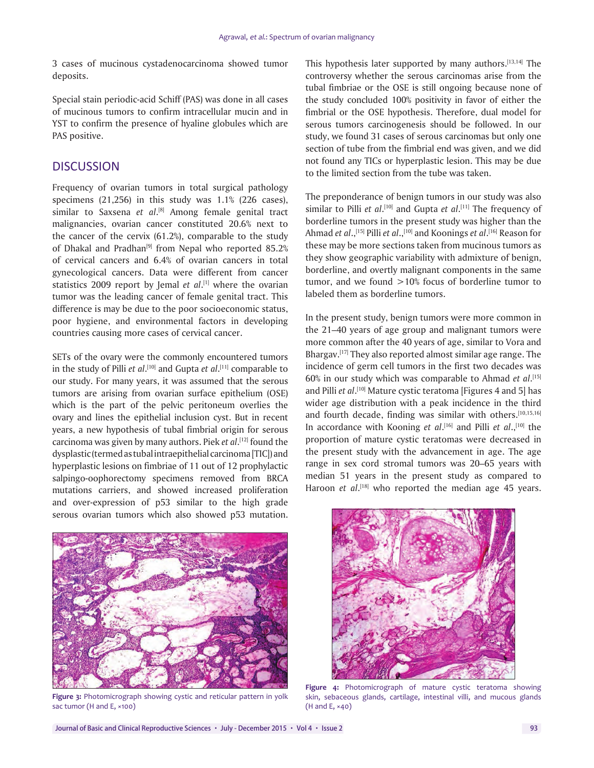3 cases of mucinous cystadenocarcinoma showed tumor deposits.

Special stain periodic-acid Schiff (PAS) was done in all cases of mucinous tumors to confirm intracellular mucin and in YST to confirm the presence of hyaline globules which are PAS positive.

## **DISCUSSION**

Frequency of ovarian tumors in total surgical pathology specimens (21,256) in this study was 1.1% (226 cases), similar to Saxsena *et al*. [8] Among female genital tract malignancies, ovarian cancer constituted 20.6% next to the cancer of the cervix (61.2%), comparable to the study of Dhakal and Pradhan<sup>[9]</sup> from Nepal who reported 85.2% of cervical cancers and 6.4% of ovarian cancers in total gynecological cancers. Data were different from cancer statistics 2009 report by Jemal *et al*. [1] where the ovarian tumor was the leading cancer of female genital tract. This difference is may be due to the poor socioeconomic status, poor hygiene, and environmental factors in developing countries causing more cases of cervical cancer.

SETs of the ovary were the commonly encountered tumors in the study of Pilli *et al*. [10] and Gupta *et al*. [11] comparable to our study. For many years, it was assumed that the serous tumors are arising from ovarian surface epithelium (OSE) which is the part of the pelvic peritoneum overlies the ovary and lines the epithelial inclusion cyst. But in recent years, a new hypothesis of tubal fimbrial origin for serous carcinoma was given by many authors. Piek *et al*. [12] found the dysplastic(termed as tubal intraepithelial carcinoma[TIC]) and hyperplastic lesions on fimbriae of 11 out of 12 prophylactic salpingo-oophorectomy specimens removed from BRCA mutations carriers, and showed increased proliferation and over-expression of p53 similar to the high grade serous ovarian tumors which also showed p53 mutation.

This hypothesis later supported by many authors.<sup>[13,14]</sup> The controversy whether the serous carcinomas arise from the tubal fimbriae or the OSE is still ongoing because none of the study concluded 100% positivity in favor of either the fimbrial or the OSE hypothesis. Therefore, dual model for serous tumors carcinogenesis should be followed. In our study, we found 31 cases of serous carcinomas but only one section of tube from the fimbrial end was given, and we did not found any TICs or hyperplastic lesion. This may be due to the limited section from the tube was taken.

The preponderance of benign tumors in our study was also similar to Pilli *et al*. [10] and Gupta *et al*. [11] The frequency of borderline tumors in the present study was higher than the Ahmad *et al*.,[15] Pilli *et al*.,[10] and Koonings *et al*. [16] Reason for these may be more sections taken from mucinous tumors as they show geographic variability with admixture of benign, borderline, and overtly malignant components in the same tumor, and we found  $>10\%$  focus of borderline tumor to labeled them as borderline tumors.

In the present study, benign tumors were more common in the 21–40 years of age group and malignant tumors were more common after the 40 years of age, similar to Vora and Bhargav.[17] They also reported almost similar age range. The incidence of germ cell tumors in the first two decades was 60% in our study which was comparable to Ahmad *et al*. [15] and Pilli *et al*. [10] Mature cystic teratoma [Figures 4 and 5] has wider age distribution with a peak incidence in the third and fourth decade, finding was similar with others.<sup>[10,15,16]</sup> In accordance with Kooning *et al*. [16] and Pilli *et al*.,[10] the proportion of mature cystic teratomas were decreased in the present study with the advancement in age. The age range in sex cord stromal tumors was 20–65 years with median 51 years in the present study as compared to Haroon *et al*.<sup>[18]</sup> who reported the median age 45 years.



**Figure 3:** Photomicrograph showing cystic and reticular pattern in yolk sac tumor (H and E, ×100)



**Figure 4:** Photomicrograph of mature cystic teratoma showing skin, sebaceous glands, cartilage, intestinal villi, and mucous glands (H and E, ×40)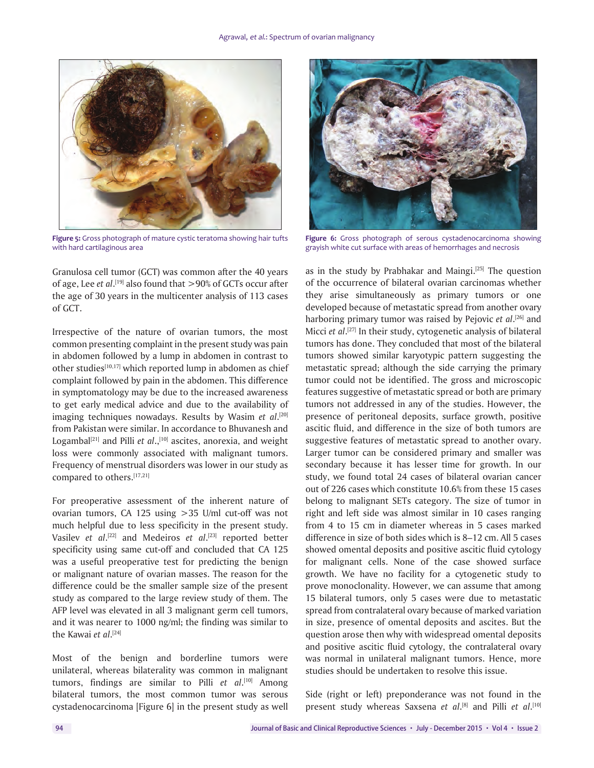

**Figure 5:** Gross photograph of mature cystic teratoma showing hair tufts with hard cartilaginous area

Granulosa cell tumor (GCT) was common after the 40 years of age, Lee *et al*. [19] also found that >90% of GCTs occur after the age of 30 years in the multicenter analysis of 113 cases of GCT.

Irrespective of the nature of ovarian tumors, the most common presenting complaint in the present study was pain in abdomen followed by a lump in abdomen in contrast to other studies<sup>[10,17]</sup> which reported lump in abdomen as chief complaint followed by pain in the abdomen. This difference in symptomatology may be due to the increased awareness to get early medical advice and due to the availability of imaging techniques nowadays. Results by Wasim *et al*. [20] from Pakistan were similar. In accordance to Bhuvanesh and Logambal<sup>[21]</sup> and Pilli *et al.*,<sup>[10]</sup> ascites, anorexia, and weight loss were commonly associated with malignant tumors. Frequency of menstrual disorders was lower in our study as compared to others.[17,21]

For preoperative assessment of the inherent nature of ovarian tumors, CA 125 using >35 U/ml cut-off was not much helpful due to less specificity in the present study. Vasilev *et al*. [22] and Medeiros *et al*. [23] reported better specificity using same cut-off and concluded that CA 125 was a useful preoperative test for predicting the benign or malignant nature of ovarian masses. The reason for the difference could be the smaller sample size of the present study as compared to the large review study of them. The AFP level was elevated in all 3 malignant germ cell tumors, and it was nearer to 1000 ng/ml; the finding was similar to the Kawai *et al*. [24]

Most of the benign and borderline tumors were unilateral, whereas bilaterality was common in malignant tumors, findings are similar to Pilli *et al*. [10] Among bilateral tumors, the most common tumor was serous cystadenocarcinoma [Figure 6] in the present study as well



**Figure 6:** Gross photograph of serous cystadenocarcinoma showing grayish white cut surface with areas of hemorrhages and necrosis

as in the study by Prabhakar and Maingi.<sup>[25]</sup> The question of the occurrence of bilateral ovarian carcinomas whether they arise simultaneously as primary tumors or one developed because of metastatic spread from another ovary harboring primary tumor was raised by Pejovic *et al*. [26] and Micci *et al*. [27] In their study, cytogenetic analysis of bilateral tumors has done. They concluded that most of the bilateral tumors showed similar karyotypic pattern suggesting the metastatic spread; although the side carrying the primary tumor could not be identified. The gross and microscopic features suggestive of metastatic spread or both are primary tumors not addressed in any of the studies. However, the presence of peritoneal deposits, surface growth, positive ascitic fluid, and difference in the size of both tumors are suggestive features of metastatic spread to another ovary. Larger tumor can be considered primary and smaller was secondary because it has lesser time for growth. In our study, we found total 24 cases of bilateral ovarian cancer out of 226 cases which constitute 10.6% from these 15 cases belong to malignant SETs category. The size of tumor in right and left side was almost similar in 10 cases ranging from 4 to 15 cm in diameter whereas in 5 cases marked difference in size of both sides which is 8–12 cm. All 5 cases showed omental deposits and positive ascitic fluid cytology for malignant cells. None of the case showed surface growth. We have no facility for a cytogenetic study to prove monoclonality. However, we can assume that among 15 bilateral tumors, only 5 cases were due to metastatic spread from contralateral ovary because of marked variation in size, presence of omental deposits and ascites. But the question arose then why with widespread omental deposits and positive ascitic fluid cytology, the contralateral ovary was normal in unilateral malignant tumors. Hence, more studies should be undertaken to resolve this issue.

Side (right or left) preponderance was not found in the present study whereas Saxsena *et al*. [8] and Pilli *et al*. [10]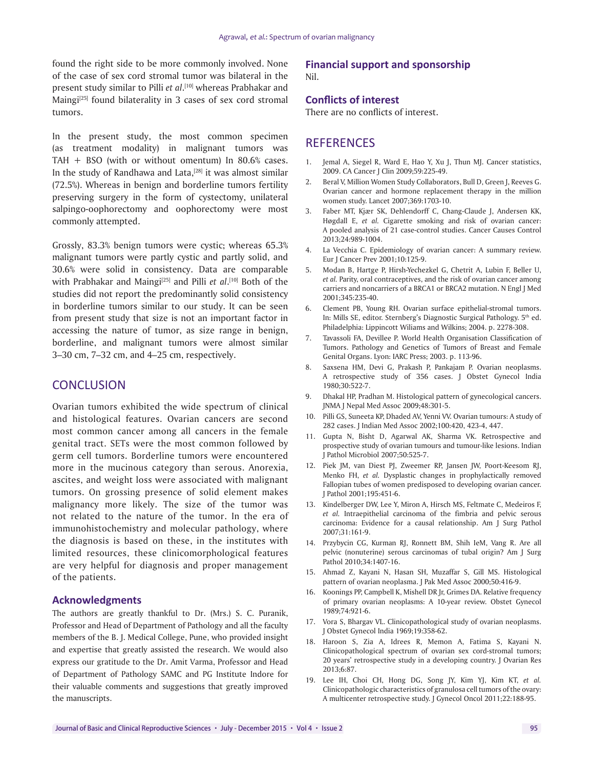found the right side to be more commonly involved. None of the case of sex cord stromal tumor was bilateral in the present study similar to Pilli *et al*. [10] whereas Prabhakar and Maingi $[25]$  found bilaterality in 3 cases of sex cord stromal tumors.

In the present study, the most common specimen (as treatment modality) in malignant tumors was TAH + BSO (with or without omentum) In 80.6% cases. In the study of Randhawa and Lata, $[28]$  it was almost similar (72.5%). Whereas in benign and borderline tumors fertility preserving surgery in the form of cystectomy, unilateral salpingo-oophorectomy and oophorectomy were most commonly attempted.

Grossly, 83.3% benign tumors were cystic; whereas 65.3% malignant tumors were partly cystic and partly solid, and 30.6% were solid in consistency. Data are comparable with Prabhakar and Maingi<sup>[25]</sup> and Pilli *et al*.<sup>[10]</sup> Both of the studies did not report the predominantly solid consistency in borderline tumors similar to our study. It can be seen from present study that size is not an important factor in accessing the nature of tumor, as size range in benign, borderline, and malignant tumors were almost similar 3–30 cm, 7–32 cm, and 4–25 cm, respectively.

# **CONCLUSION**

Ovarian tumors exhibited the wide spectrum of clinical and histological features. Ovarian cancers are second most common cancer among all cancers in the female genital tract. SETs were the most common followed by germ cell tumors. Borderline tumors were encountered more in the mucinous category than serous. Anorexia, ascites, and weight loss were associated with malignant tumors. On grossing presence of solid element makes malignancy more likely. The size of the tumor was not related to the nature of the tumor. In the era of immunohistochemistry and molecular pathology, where the diagnosis is based on these, in the institutes with limited resources, these clinicomorphological features are very helpful for diagnosis and proper management of the patients.

#### **Acknowledgments**

The authors are greatly thankful to Dr. (Mrs.) S. C. Puranik, Professor and Head of Department of Pathology and all the faculty members of the B. J. Medical College, Pune, who provided insight and expertise that greatly assisted the research. We would also express our gratitude to the Dr. Amit Varma, Professor and Head of Department of Pathology SAMC and PG Institute Indore for their valuable comments and suggestions that greatly improved the manuscripts.

#### **Financial support and sponsorship**  Nil.

#### **Conflicts of interest**

There are no conflicts of interest.

## **REFERENCES**

- 1. Jemal A, Siegel R, Ward E, Hao Y, Xu J, Thun MJ. Cancer statistics, 2009. CA Cancer J Clin 2009;59:225-49.
- 2. Beral V, Million Women Study Collaborators, Bull D, Green J, Reeves G. Ovarian cancer and hormone replacement therapy in the million women study. Lancet 2007;369:1703-10.
- 3. Faber MT, Kjær SK, Dehlendorff C, Chang-Claude J, Andersen KK, Høgdall E, *et al.* Cigarette smoking and risk of ovarian cancer: A pooled analysis of 21 case-control studies. Cancer Causes Control 2013;24:989-1004.
- 4. La Vecchia C. Epidemiology of ovarian cancer: A summary review. Eur J Cancer Prev 2001;10:125-9.
- 5. Modan B, Hartge P, Hirsh-Yechezkel G, Chetrit A, Lubin F, Beller U, *et al.* Parity, oral contraceptives, and the risk of ovarian cancer among carriers and noncarriers of a BRCA1 or BRCA2 mutation. N Engl J Med 2001;345:235-40.
- 6. Clement PB, Young RH. Ovarian surface epithelial-stromal tumors. In: Mills SE, editor. Sternberg's Diagnostic Surgical Pathology. 5<sup>th</sup> ed. Philadelphia: Lippincott Wiliams and Wilkins; 2004. p. 2278-308.
- 7. Tavassoli FA, Devillee P. World Health Organisation Classification of Tumors. Pathology and Genetics of Tumors of Breast and Female Genital Organs. Lyon: IARC Press; 2003. p. 113-96.
- 8. Saxsena HM, Devi G, Prakash P, Pankajam P. Ovarian neoplasms. A retrospective study of 356 cases. J Obstet Gynecol India 1980;30:522-7.
- 9. Dhakal HP, Pradhan M. Histological pattern of gynecological cancers. JNMA J Nepal Med Assoc 2009;48:301-5.
- 10. Pilli GS, Suneeta KP, Dhaded AV, Yenni VV. Ovarian tumours: A study of 282 cases. J Indian Med Assoc 2002;100:420, 423-4, 447.
- 11. Gupta N, Bisht D, Agarwal AK, Sharma VK. Retrospective and prospective study of ovarian tumours and tumour-like lesions. Indian J Pathol Microbiol 2007;50:525-7.
- 12. Piek JM, van Diest PJ, Zweemer RP, Jansen JW, Poort-Keesom RJ, Menko FH, *et al.* Dysplastic changes in prophylactically removed Fallopian tubes of women predisposed to developing ovarian cancer. J Pathol 2001;195:451-6.
- 13. Kindelberger DW, Lee Y, Miron A, Hirsch MS, Feltmate C, Medeiros F, *et al.* Intraepithelial carcinoma of the fimbria and pelvic serous carcinoma: Evidence for a causal relationship. Am J Surg Pathol 2007;31:161-9.
- 14. Przybycin CG, Kurman RJ, Ronnett BM, Shih IeM, Vang R. Are all pelvic (nonuterine) serous carcinomas of tubal origin? Am J Surg Pathol 2010;34:1407-16.
- 15. Ahmad Z, Kayani N, Hasan SH, Muzaffar S, Gill MS. Histological pattern of ovarian neoplasma. J Pak Med Assoc 2000;50:416-9.
- 16. Koonings PP, Campbell K, Mishell DR Jr, Grimes DA. Relative frequency of primary ovarian neoplasms: A 10-year review. Obstet Gynecol 1989;74:921-6.
- 17. Vora S, Bhargav VL. Clinicopathological study of ovarian neoplasms. J Obstet Gynecol India 1969;19:358-62.
- 18. Haroon S, Zia A, Idrees R, Memon A, Fatima S, Kayani N. Clinicopathological spectrum of ovarian sex cord-stromal tumors; 20 years' retrospective study in a developing country. J Ovarian Res 2013;6:87.
- 19. Lee IH, Choi CH, Hong DG, Song JY, Kim YJ, Kim KT, *et al.* Clinicopathologic characteristics of granulosa cell tumors of the ovary: A multicenter retrospective study. J Gynecol Oncol 2011;22:188-95.